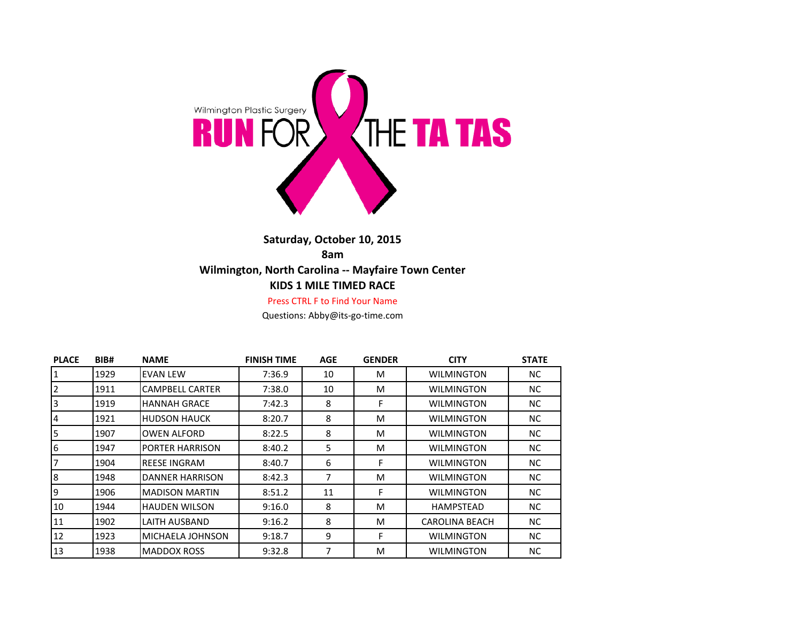

## **Saturday, October 10, 2015 8am Wilmington, North Carolina -- Mayfaire Town Center KIDS 1 MILE TIMED RACE**

Press CTRL F to Find Your Name

Questions: Abby@its-go-time.com

| <b>PLACE</b>    | BIB# | <b>NAME</b>             | <b>FINISH TIME</b> | <b>AGE</b> | <b>GENDER</b> | <b>CITY</b>           | <b>STATE</b> |
|-----------------|------|-------------------------|--------------------|------------|---------------|-----------------------|--------------|
| $\mathbf{1}$    | 1929 | <b>EVAN LEW</b>         | 7:36.9             | 10         | м             | <b>WILMINGTON</b>     | NC.          |
| $\overline{2}$  | 1911 | <b>CAMPBELL CARTER</b>  | 7:38.0             | 10         | м             | <b>WILMINGTON</b>     | NC.          |
| $\overline{3}$  | 1919 | <b>HANNAH GRACE</b>     | 7:42.3             | 8          | F             | WILMINGTON            | NC.          |
| $\overline{4}$  | 1921 | <b>HUDSON HAUCK</b>     | 8:20.7             | 8          | м             | WILMINGTON            | NC.          |
| 5               | 1907 | <b>OWEN ALFORD</b>      | 8:22.5             | 8          | M             | <b>WILMINGTON</b>     | NC.          |
| $6\phantom{.}6$ | 1947 | <b>PORTER HARRISON</b>  | 8:40.2             | 5          | м             | <b>WILMINGTON</b>     | NC.          |
| $\overline{7}$  | 1904 | <b>REESE INGRAM</b>     | 8:40.7             | 6          | F             | <b>WILMINGTON</b>     | NC.          |
| 8               | 1948 | <b>DANNER HARRISON</b>  | 8:42.3             | 7          | м             | <b>WILMINGTON</b>     | NC.          |
| 9               | 1906 | <b>MADISON MARTIN</b>   | 8:51.2             | 11         | F             | <b>WILMINGTON</b>     | NC.          |
| 10              | 1944 | <b>HAUDEN WILSON</b>    | 9:16.0             | 8          | M             | <b>HAMPSTEAD</b>      | NC.          |
| 11              | 1902 | LAITH AUSBAND           | 9:16.2             | 8          | M             | <b>CAROLINA BEACH</b> | NC.          |
| 12              | 1923 | <b>MICHAELA JOHNSON</b> | 9:18.7             | 9          | F             | WILMINGTON            | NC.          |
| 13              | 1938 | MADDOX ROSS             | 9:32.8             | 7          | M             | WILMINGTON            | NC.          |